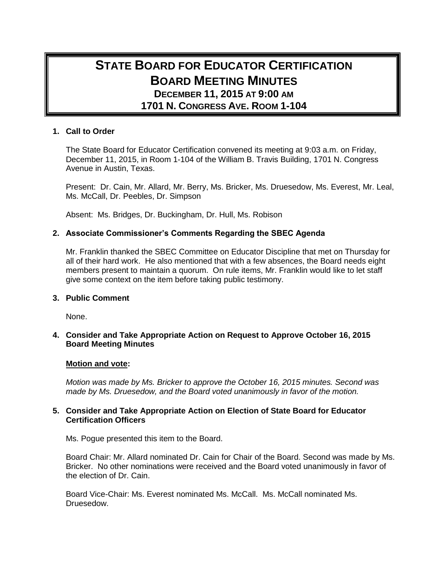# **STATE BOARD FOR EDUCATOR CERTIFICATION BOARD MEETING MINUTES DECEMBER 11, 2015 AT 9:00 AM 1701 N. CONGRESS AVE. ROOM 1-104**

## **1. Call to Order**

The State Board for Educator Certification convened its meeting at 9:03 a.m. on Friday, December 11, 2015, in Room 1-104 of the William B. Travis Building, 1701 N. Congress Avenue in Austin, Texas.

Present: Dr. Cain, Mr. Allard, Mr. Berry, Ms. Bricker, Ms. Druesedow, Ms. Everest, Mr. Leal, Ms. McCall, Dr. Peebles, Dr. Simpson

Absent: Ms. Bridges, Dr. Buckingham, Dr. Hull, Ms. Robison

## **2. Associate Commissioner's Comments Regarding the SBEC Agenda**

Mr. Franklin thanked the SBEC Committee on Educator Discipline that met on Thursday for all of their hard work. He also mentioned that with a few absences, the Board needs eight members present to maintain a quorum. On rule items, Mr. Franklin would like to let staff give some context on the item before taking public testimony.

#### **3. Public Comment**

None.

## **4. Consider and Take Appropriate Action on Request to Approve October 16, 2015 Board Meeting Minutes**

#### **Motion and vote:**

*Motion was made by Ms. Bricker to approve the October 16, 2015 minutes. Second was made by Ms. Druesedow, and the Board voted unanimously in favor of the motion.*

## **5. Consider and Take Appropriate Action on Election of State Board for Educator Certification Officers**

Ms. Pogue presented this item to the Board.

Board Chair: Mr. Allard nominated Dr. Cain for Chair of the Board. Second was made by Ms. Bricker. No other nominations were received and the Board voted unanimously in favor of the election of Dr. Cain.

Board Vice-Chair: Ms. Everest nominated Ms. McCall. Ms. McCall nominated Ms. Druesedow.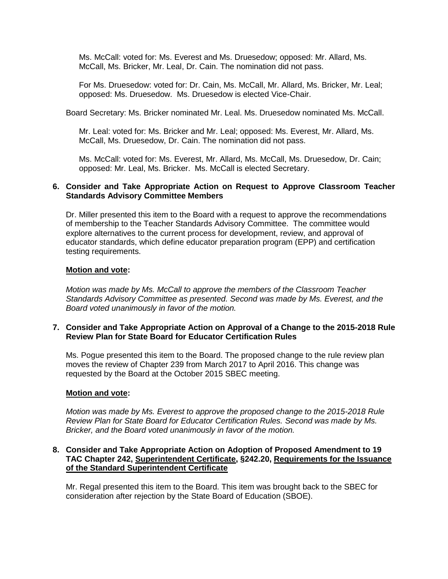Ms. McCall: voted for: Ms. Everest and Ms. Druesedow; opposed: Mr. Allard, Ms. McCall, Ms. Bricker, Mr. Leal, Dr. Cain. The nomination did not pass.

For Ms. Druesedow: voted for: Dr. Cain, Ms. McCall, Mr. Allard, Ms. Bricker, Mr. Leal; opposed: Ms. Druesedow. Ms. Druesedow is elected Vice-Chair.

Board Secretary: Ms. Bricker nominated Mr. Leal. Ms. Druesedow nominated Ms. McCall.

Mr. Leal: voted for: Ms. Bricker and Mr. Leal; opposed: Ms. Everest, Mr. Allard, Ms. McCall, Ms. Druesedow, Dr. Cain. The nomination did not pass.

Ms. McCall: voted for: Ms. Everest, Mr. Allard, Ms. McCall, Ms. Druesedow, Dr. Cain; opposed: Mr. Leal, Ms. Bricker. Ms. McCall is elected Secretary.

#### **6. Consider and Take Appropriate Action on Request to Approve Classroom Teacher Standards Advisory Committee Members**

Dr. Miller presented this item to the Board with a request to approve the recommendations of membership to the Teacher Standards Advisory Committee. The committee would explore alternatives to the current process for development, review, and approval of educator standards, which define educator preparation program (EPP) and certification testing requirements.

#### **Motion and vote:**

*Motion was made by Ms. McCall to approve the members of the Classroom Teacher Standards Advisory Committee as presented. Second was made by Ms. Everest, and the Board voted unanimously in favor of the motion.*

#### **7. Consider and Take Appropriate Action on Approval of a Change to the 2015-2018 Rule Review Plan for State Board for Educator Certification Rules**

Ms. Pogue presented this item to the Board. The proposed change to the rule review plan moves the review of Chapter 239 from March 2017 to April 2016. This change was requested by the Board at the October 2015 SBEC meeting.

#### **Motion and vote:**

*Motion was made by Ms. Everest to approve the proposed change to the 2015-2018 Rule Review Plan for State Board for Educator Certification Rules. Second was made by Ms. Bricker, and the Board voted unanimously in favor of the motion.*

#### **8. Consider and Take Appropriate Action on Adoption of Proposed Amendment to 19 TAC Chapter 242, Superintendent Certificate, §242.20, Requirements for the Issuance of the Standard Superintendent Certificate**

Mr. Regal presented this item to the Board. This item was brought back to the SBEC for consideration after rejection by the State Board of Education (SBOE).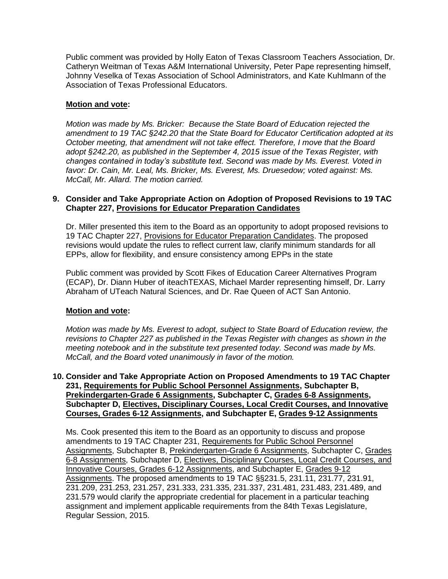Public comment was provided by Holly Eaton of Texas Classroom Teachers Association, Dr. Catheryn Weitman of Texas A&M International University, Peter Pape representing himself, Johnny Veselka of Texas Association of School Administrators, and Kate Kuhlmann of the Association of Texas Professional Educators.

## **Motion and vote:**

*Motion was made by Ms. Bricker: Because the State Board of Education rejected the amendment to 19 TAC §242.20 that the State Board for Educator Certification adopted at its October meeting, that amendment will not take effect. Therefore, I move that the Board adopt §242.20, as published in the September 4, 2015 issue of the Texas Register, with changes contained in today's substitute text. Second was made by Ms. Everest. Voted in favor: Dr. Cain, Mr. Leal, Ms. Bricker, Ms. Everest, Ms. Druesedow; voted against: Ms. McCall, Mr. Allard. The motion carried.*

## **9. Consider and Take Appropriate Action on Adoption of Proposed Revisions to 19 TAC Chapter 227, Provisions for Educator Preparation Candidates**

Dr. Miller presented this item to the Board as an opportunity to adopt proposed revisions to 19 TAC Chapter 227, Provisions for Educator Preparation Candidates. The proposed revisions would update the rules to reflect current law, clarify minimum standards for all EPPs, allow for flexibility, and ensure consistency among EPPs in the state

Public comment was provided by Scott Fikes of Education Career Alternatives Program (ECAP), Dr. Diann Huber of iteachTEXAS, Michael Marder representing himself, Dr. Larry Abraham of UTeach Natural Sciences, and Dr. Rae Queen of ACT San Antonio.

#### **Motion and vote:**

*Motion was made by Ms. Everest to adopt, subject to State Board of Education review, the revisions to Chapter 227 as published in the Texas Register with changes as shown in the meeting notebook and in the substitute text presented today. Second was made by Ms. McCall, and the Board voted unanimously in favor of the motion.*

## **10. Consider and Take Appropriate Action on Proposed Amendments to 19 TAC Chapter 231, Requirements for Public School Personnel Assignments, Subchapter B, Prekindergarten-Grade 6 Assignments, Subchapter C, Grades 6-8 Assignments, Subchapter D, Electives, Disciplinary Courses, Local Credit Courses, and Innovative Courses, Grades 6-12 Assignments, and Subchapter E, Grades 9-12 Assignments**

Ms. Cook presented this item to the Board as an opportunity to discuss and propose amendments to 19 TAC Chapter 231, Requirements for Public School Personnel Assignments, Subchapter B, Prekindergarten-Grade 6 Assignments, Subchapter C, Grades 6-8 Assignments, Subchapter D, Electives, Disciplinary Courses, Local Credit Courses, and Innovative Courses, Grades 6-12 Assignments, and Subchapter E, Grades 9-12 Assignments. The proposed amendments to 19 TAC §§231.5, 231.11, 231.77, 231.91, 231.209, 231.253, 231.257, 231.333, 231.335, 231.337, 231.481, 231.483, 231.489, and 231.579 would clarify the appropriate credential for placement in a particular teaching assignment and implement applicable requirements from the 84th Texas Legislature, Regular Session, 2015.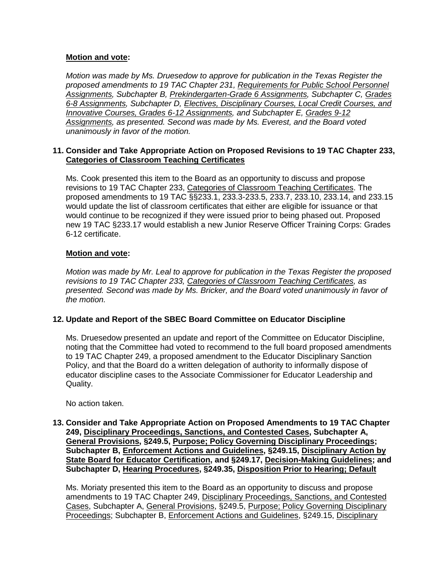*Motion was made by Ms. Druesedow to approve for publication in the Texas Register the proposed amendments to 19 TAC Chapter 231, Requirements for Public School Personnel Assignments, Subchapter B, Prekindergarten-Grade 6 Assignments, Subchapter C, Grades 6-8 Assignments, Subchapter D, Electives, Disciplinary Courses, Local Credit Courses, and Innovative Courses, Grades 6-12 Assignments, and Subchapter E, Grades 9-12 Assignments, as presented. Second was made by Ms. Everest, and the Board voted unanimously in favor of the motion.*

# **11. Consider and Take Appropriate Action on Proposed Revisions to 19 TAC Chapter 233, Categories of Classroom Teaching Certificates**

Ms. Cook presented this item to the Board as an opportunity to discuss and propose revisions to 19 TAC Chapter 233, Categories of Classroom Teaching Certificates. The proposed amendments to 19 TAC §§233.1, 233.3-233.5, 233.7, 233.10, 233.14, and 233.15 would update the list of classroom certificates that either are eligible for issuance or that would continue to be recognized if they were issued prior to being phased out. Proposed new 19 TAC §233.17 would establish a new Junior Reserve Officer Training Corps: Grades 6-12 certificate.

# **Motion and vote:**

*Motion was made by Mr. Leal to approve for publication in the Texas Register the proposed revisions to 19 TAC Chapter 233, Categories of Classroom Teaching Certificates, as presented. Second was made by Ms. Bricker, and the Board voted unanimously in favor of the motion.*

# **12. Update and Report of the SBEC Board Committee on Educator Discipline**

Ms. Druesedow presented an update and report of the Committee on Educator Discipline, noting that the Committee had voted to recommend to the full board proposed amendments to 19 TAC Chapter 249, a proposed amendment to the Educator Disciplinary Sanction Policy, and that the Board do a written delegation of authority to informally dispose of educator discipline cases to the Associate Commissioner for Educator Leadership and Quality.

No action taken.

## **13. Consider and Take Appropriate Action on Proposed Amendments to 19 TAC Chapter 249, Disciplinary Proceedings, Sanctions, and Contested Cases, Subchapter A, General Provisions, §249.5, Purpose; Policy Governing Disciplinary Proceedings; Subchapter [B,](https://texreg.sos.state.tx.us/public/readtac$ext.ViewTAC?tac_view=5&ti=19&pt=7&ch=249&sch=B&rl=Y) Enforcement Actions and Guidelines, [§249.15,](https://texreg.sos.state.tx.us/public/readtac$ext.TacPage?sl=R&app=9&p_dir=&p_rloc=&p_tloc=&p_ploc=&pg=1&p_tac=&ti=19&pt=7&ch=249&rl=15) Disciplinary Action by State Board for Educator Certification, and §249.17, Decision-Making Guidelines; and Subchapter D, Hearing Procedures, §249.35, Disposition Prior to Hearing; Default**

Ms. Moriaty presented this item to the Board as an opportunity to discuss and propose amendments to 19 TAC Chapter 249, Disciplinary Proceedings, Sanctions, and Contested Cases, Subchapter A, General Provisions, §249.5, Purpose; Policy Governing Disciplinary Proceedings; Subchapter B, Enforcement Actions and Guidelines, §249.15, Disciplinary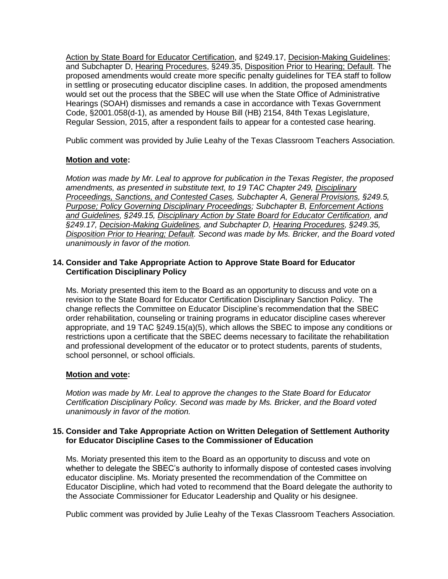Action by State Board for Educator Certification, and §249.17, Decision-Making Guidelines; and Subchapter D, Hearing Procedures, §249.35, Disposition Prior to Hearing; Default. The proposed amendments would create more specific penalty guidelines for TEA staff to follow in settling or prosecuting educator discipline cases. In addition, the proposed amendments would set out the process that the SBEC will use when the State Office of Administrative Hearings (SOAH) dismisses and remands a case in accordance with Texas Government Code, §2001.058(d-1), as amended by House Bill (HB) 2154, 84th Texas Legislature, Regular Session, 2015, after a respondent fails to appear for a contested case hearing.

Public comment was provided by Julie Leahy of the Texas Classroom Teachers Association.

# **Motion and vote:**

*Motion was made by Mr. Leal to approve for publication in the Texas Register, the proposed amendments, as presented in substitute text, to 19 TAC Chapter 249, Disciplinary Proceedings, Sanctions, and Contested Cases, Subchapter A, General Provisions, §249.5, Purpose; Policy Governing Disciplinary Proceedings; Subchapter B, Enforcement Actions and Guidelines, §249.15, Disciplinary Action by State Board for Educator Certification, and §249.17, Decision-Making Guidelines, and Subchapter D, Hearing Procedures, §249.35, Disposition Prior to Hearing; Default. Second was made by Ms. Bricker, and the Board voted unanimously in favor of the motion.*

# **14. Consider and Take Appropriate Action to Approve State Board for Educator Certification Disciplinary Policy**

Ms. Moriaty presented this item to the Board as an opportunity to discuss and vote on a revision to the State Board for Educator Certification Disciplinary Sanction Policy. The change reflects the Committee on Educator Discipline's recommendation that the SBEC order rehabilitation, counseling or training programs in educator discipline cases wherever appropriate, and 19 TAC §249.15(a)(5), which allows the SBEC to impose any conditions or restrictions upon a certificate that the SBEC deems necessary to facilitate the rehabilitation and professional development of the educator or to protect students, parents of students, school personnel, or school officials.

# **Motion and vote:**

*Motion was made by Mr. Leal to approve the changes to the State Board for Educator Certification Disciplinary Policy. Second was made by Ms. Bricker, and the Board voted unanimously in favor of the motion.*

# **15. Consider and Take Appropriate Action on Written Delegation of Settlement Authority for Educator Discipline Cases to the Commissioner of Education**

Ms. Moriaty presented this item to the Board as an opportunity to discuss and vote on whether to delegate the SBEC's authority to informally dispose of contested cases involving educator discipline. Ms. Moriaty presented the recommendation of the Committee on Educator Discipline, which had voted to recommend that the Board delegate the authority to the Associate Commissioner for Educator Leadership and Quality or his designee.

Public comment was provided by Julie Leahy of the Texas Classroom Teachers Association.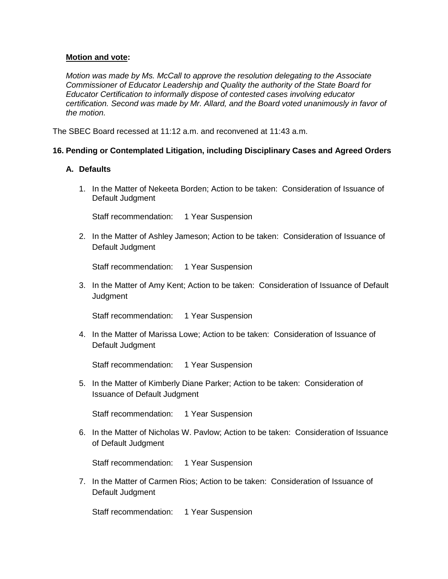*Motion was made by Ms. McCall to approve the resolution delegating to the Associate Commissioner of Educator Leadership and Quality the authority of the State Board for Educator Certification to informally dispose of contested cases involving educator certification. Second was made by Mr. Allard, and the Board voted unanimously in favor of the motion.*

The SBEC Board recessed at 11:12 a.m. and reconvened at 11:43 a.m.

## **16. Pending or Contemplated Litigation, including Disciplinary Cases and Agreed Orders**

## **A. Defaults**

1. In the Matter of Nekeeta Borden; Action to be taken: Consideration of Issuance of Default Judgment

Staff recommendation: 1 Year Suspension

2. In the Matter of Ashley Jameson; Action to be taken: Consideration of Issuance of Default Judgment

Staff recommendation: 1 Year Suspension

3. In the Matter of Amy Kent; Action to be taken: Consideration of Issuance of Default **Judgment** 

Staff recommendation: 1 Year Suspension

4. In the Matter of Marissa Lowe; Action to be taken: Consideration of Issuance of Default Judgment

Staff recommendation: 1 Year Suspension

5. In the Matter of Kimberly Diane Parker; Action to be taken: Consideration of Issuance of Default Judgment

Staff recommendation: 1 Year Suspension

6. In the Matter of Nicholas W. Pavlow; Action to be taken: Consideration of Issuance of Default Judgment

Staff recommendation: 1 Year Suspension

7. In the Matter of Carmen Rios; Action to be taken: Consideration of Issuance of Default Judgment

Staff recommendation: 1 Year Suspension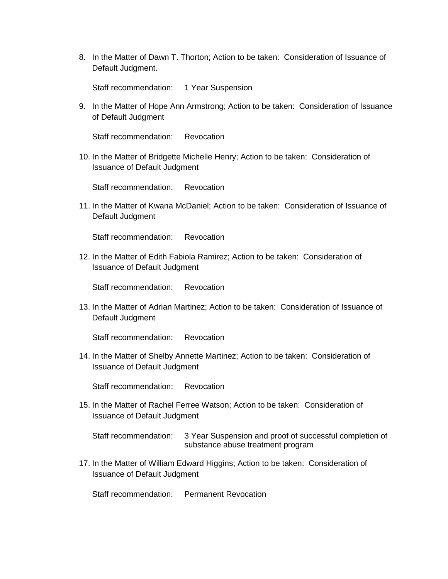8. In the Matter of Dawn T. Thorton; Action to be taken: Consideration of Issuance of Default Judgment.

Staff recommendation: 1 Year Suspension

9. In the Matter of Hope Ann Armstrong; Action to be taken: Consideration of Issuance of Default Judgment

Staff recommendation: Revocation

10. In the Matter of Bridgette Michelle Henry; Action to be taken: Consideration of Issuance of Default Judgment

Staff recommendation: Revocation

11. In the Matter of Kwana McDaniel; Action to be taken: Consideration of Issuance of Default Judgment

Staff recommendation: Revocation

12. In the Matter of Edith Fabiola Ramirez; Action to be taken: Consideration of Issuance of Default Judgment

Staff recommendation: Revocation

13. In the Matter of Adrian Martinez; Action to be taken: Consideration of Issuance of Default Judgment

Staff recommendation: Revocation

14. In the Matter of Shelby Annette Martinez; Action to be taken: Consideration of Issuance of Default Judgment

Staff recommendation: Revocation

15. In the Matter of Rachel Ferree Watson; Action to be taken: Consideration of Issuance of Default Judgment

Staff recommendation: 3 Year Suspension and proof of successful completion of substance abuse treatment program

17. In the Matter of William Edward Higgins; Action to be taken: Consideration of Issuance of Default Judgment

Staff recommendation: Permanent Revocation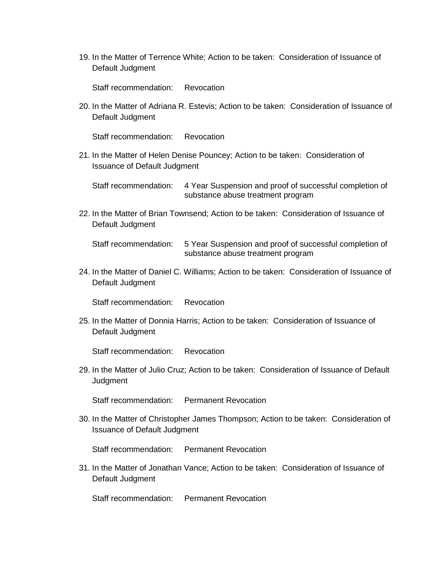19. In the Matter of Terrence White; Action to be taken: Consideration of Issuance of Default Judgment

Staff recommendation: Revocation

20. In the Matter of Adriana R. Estevis; Action to be taken: Consideration of Issuance of Default Judgment

Staff recommendation: Revocation

21. In the Matter of Helen Denise Pouncey; Action to be taken: Consideration of Issuance of Default Judgment

Staff recommendation: 4 Year Suspension and proof of successful completion of substance abuse treatment program

22. In the Matter of Brian Townsend; Action to be taken: Consideration of Issuance of Default Judgment

Staff recommendation: 5 Year Suspension and proof of successful completion of substance abuse treatment program

24. In the Matter of Daniel C. Williams; Action to be taken: Consideration of Issuance of Default Judgment

Staff recommendation: Revocation

25. In the Matter of Donnia Harris; Action to be taken: Consideration of Issuance of Default Judgment

Staff recommendation: Revocation

29. In the Matter of Julio Cruz; Action to be taken: Consideration of Issuance of Default **Judgment** 

Staff recommendation: Permanent Revocation

30. In the Matter of Christopher James Thompson; Action to be taken: Consideration of Issuance of Default Judgment

Staff recommendation: Permanent Revocation

31. In the Matter of Jonathan Vance; Action to be taken: Consideration of Issuance of Default Judgment

Staff recommendation: Permanent Revocation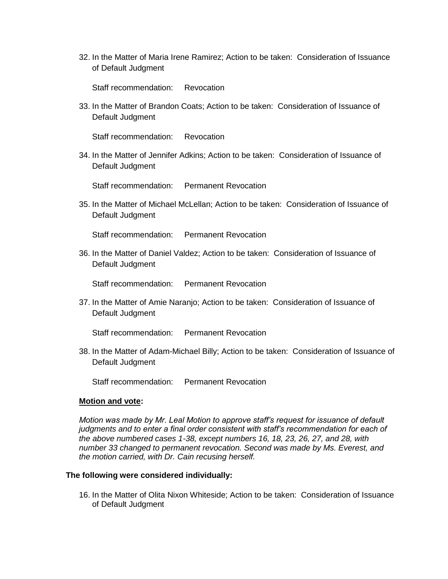32. In the Matter of Maria Irene Ramirez; Action to be taken: Consideration of Issuance of Default Judgment

Staff recommendation: Revocation

33. In the Matter of Brandon Coats; Action to be taken: Consideration of Issuance of Default Judgment

Staff recommendation: Revocation

34. In the Matter of Jennifer Adkins; Action to be taken: Consideration of Issuance of Default Judgment

Staff recommendation: Permanent Revocation

35. In the Matter of Michael McLellan; Action to be taken: Consideration of Issuance of Default Judgment

Staff recommendation: Permanent Revocation

36. In the Matter of Daniel Valdez; Action to be taken: Consideration of Issuance of Default Judgment

Staff recommendation: Permanent Revocation

37. In the Matter of Amie Naranjo; Action to be taken: Consideration of Issuance of Default Judgment

Staff recommendation: Permanent Revocation

38. In the Matter of Adam-Michael Billy; Action to be taken: Consideration of Issuance of Default Judgment

Staff recommendation: Permanent Revocation

#### **Motion and vote:**

*Motion was made by Mr. Leal Motion to approve staff's request for issuance of default judgments and to enter a final order consistent with staff's recommendation for each of the above numbered cases 1-38, except numbers 16, 18, 23, 26, 27, and 28, with number 33 changed to permanent revocation. Second was made by Ms. Everest, and the motion carried, with Dr. Cain recusing herself.*

#### **The following were considered individually:**

16. In the Matter of Olita Nixon Whiteside; Action to be taken: Consideration of Issuance of Default Judgment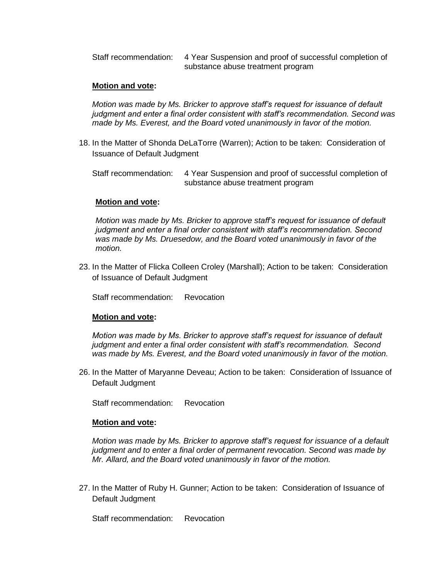Staff recommendation: 4 Year Suspension and proof of successful completion of substance abuse treatment program

### **Motion and vote:**

*Motion was made by Ms. Bricker to approve staff's request for issuance of default judgment and enter a final order consistent with staff's recommendation. Second was made by Ms. Everest, and the Board voted unanimously in favor of the motion.*

18. In the Matter of Shonda DeLaTorre (Warren); Action to be taken: Consideration of Issuance of Default Judgment

Staff recommendation: 4 Year Suspension and proof of successful completion of substance abuse treatment program

#### **Motion and vote:**

*Motion was made by Ms. Bricker to approve staff's request for issuance of default judgment and enter a final order consistent with staff's recommendation. Second was made by Ms. Druesedow, and the Board voted unanimously in favor of the motion.*

23. In the Matter of Flicka Colleen Croley (Marshall); Action to be taken: Consideration of Issuance of Default Judgment

Staff recommendation: Revocation

#### **Motion and vote:**

*Motion was made by Ms. Bricker to approve staff's request for issuance of default judgment and enter a final order consistent with staff's recommendation. Second was made by Ms. Everest, and the Board voted unanimously in favor of the motion.*

26. In the Matter of Maryanne Deveau; Action to be taken: Consideration of Issuance of Default Judgment

Staff recommendation: Revocation

#### **Motion and vote:**

*Motion was made by Ms. Bricker to approve staff's request for issuance of a default judgment and to enter a final order of permanent revocation. Second was made by Mr. Allard, and the Board voted unanimously in favor of the motion.*

27. In the Matter of Ruby H. Gunner; Action to be taken: Consideration of Issuance of Default Judgment

Staff recommendation: Revocation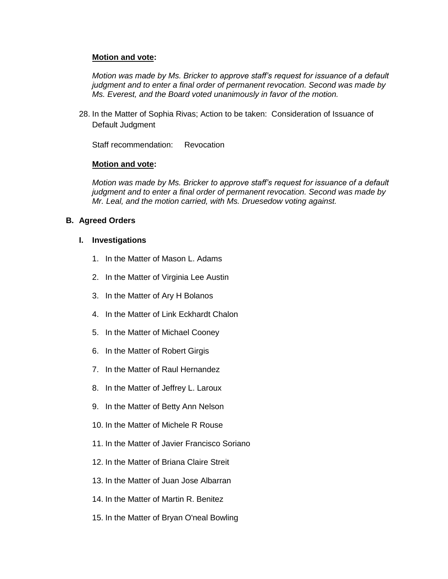*Motion was made by Ms. Bricker to approve staff's request for issuance of a default judgment and to enter a final order of permanent revocation. Second was made by Ms. Everest, and the Board voted unanimously in favor of the motion.*

28. In the Matter of Sophia Rivas; Action to be taken: Consideration of Issuance of Default Judgment

Staff recommendation: Revocation

## **Motion and vote:**

*Motion was made by Ms. Bricker to approve staff's request for issuance of a default judgment and to enter a final order of permanent revocation. Second was made by Mr. Leal, and the motion carried, with Ms. Druesedow voting against.*

## **B. Agreed Orders**

## **I. Investigations**

- 1. In the Matter of Mason L. Adams
- 2. In the Matter of Virginia Lee Austin
- 3. In the Matter of Ary H Bolanos
- 4. In the Matter of Link Eckhardt Chalon
- 5. In the Matter of Michael Cooney
- 6. In the Matter of Robert Girgis
- 7. In the Matter of Raul Hernandez
- 8. In the Matter of Jeffrey L. Laroux
- 9. In the Matter of Betty Ann Nelson
- 10. In the Matter of Michele R Rouse
- 11. In the Matter of Javier Francisco Soriano
- 12. In the Matter of Briana Claire Streit
- 13. In the Matter of Juan Jose Albarran
- 14. In the Matter of Martin R. Benitez
- 15. In the Matter of Bryan O'neal Bowling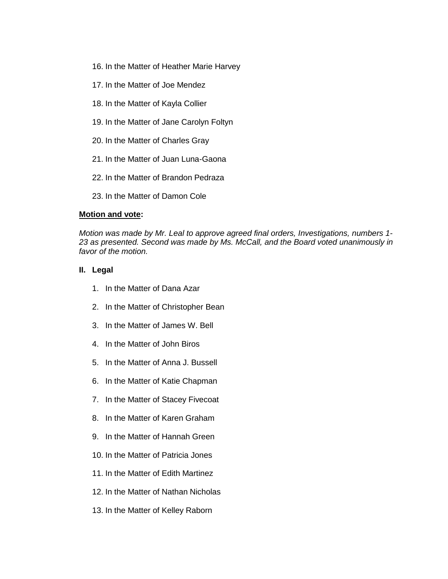- 16. In the Matter of Heather Marie Harvey
- 17. In the Matter of Joe Mendez
- 18. In the Matter of Kayla Collier
- 19. In the Matter of Jane Carolyn Foltyn
- 20. In the Matter of Charles Gray
- 21. In the Matter of Juan Luna-Gaona
- 22. In the Matter of Brandon Pedraza
- 23. In the Matter of Damon Cole

*Motion was made by Mr. Leal to approve agreed final orders, Investigations, numbers 1- 23 as presented. Second was made by Ms. McCall, and the Board voted unanimously in favor of the motion.*

## **II. Legal**

- 1. In the Matter of Dana Azar
- 2. In the Matter of Christopher Bean
- 3. In the Matter of James W. Bell
- 4. In the Matter of John Biros
- 5. In the Matter of Anna J. Bussell
- 6. In the Matter of Katie Chapman
- 7. In the Matter of Stacey Fivecoat
- 8. In the Matter of Karen Graham
- 9. In the Matter of Hannah Green
- 10. In the Matter of Patricia Jones
- 11. In the Matter of Edith Martinez
- 12. In the Matter of Nathan Nicholas
- 13. In the Matter of Kelley Raborn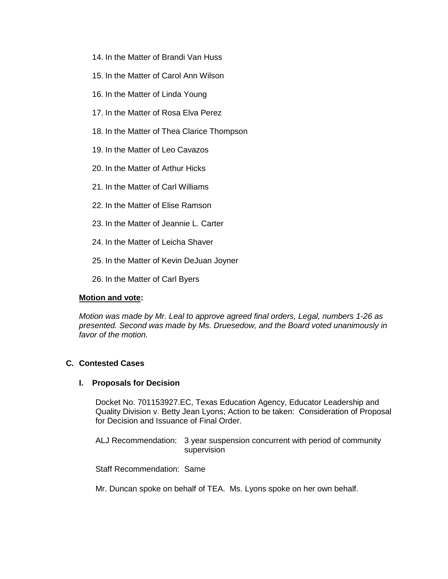- 14. In the Matter of Brandi Van Huss
- 15. In the Matter of Carol Ann Wilson
- 16. In the Matter of Linda Young
- 17. In the Matter of Rosa Elva Perez
- 18. In the Matter of Thea Clarice Thompson
- 19. In the Matter of Leo Cavazos
- 20. In the Matter of Arthur Hicks
- 21. In the Matter of Carl Williams
- 22. In the Matter of Elise Ramson
- 23. In the Matter of Jeannie L. Carter
- 24. In the Matter of Leicha Shaver
- 25. In the Matter of Kevin DeJuan Joyner
- 26. In the Matter of Carl Byers

*Motion was made by Mr. Leal to approve agreed final orders, Legal, numbers 1-26 as presented. Second was made by Ms. Druesedow, and the Board voted unanimously in favor of the motion.*

# **C. Contested Cases**

#### **I. Proposals for Decision**

Docket No. 701153927.EC, Texas Education Agency, Educator Leadership and Quality Division v. Betty Jean Lyons; Action to be taken: Consideration of Proposal for Decision and Issuance of Final Order.

ALJ Recommendation: 3 year suspension concurrent with period of community supervision

Staff Recommendation: Same

Mr. Duncan spoke on behalf of TEA. Ms. Lyons spoke on her own behalf.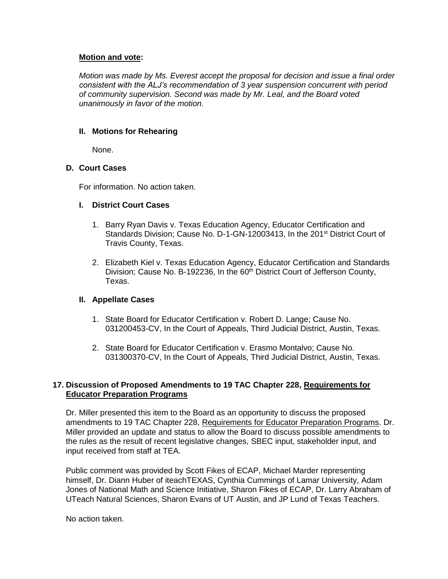*Motion was made by Ms. Everest accept the proposal for decision and issue a final order consistent with the ALJ's recommendation of 3 year suspension concurrent with period of community supervision. Second was made by Mr. Leal, and the Board voted unanimously in favor of the motion.*

# **II. Motions for Rehearing**

None.

# **D. Court Cases**

For information. No action taken.

# **I. District Court Cases**

- 1. Barry Ryan Davis v. Texas Education Agency, Educator Certification and Standards Division; Cause No. D-1-GN-12003413, In the 201<sup>st</sup> District Court of Travis County, Texas.
- 2. Elizabeth Kiel v. Texas Education Agency, Educator Certification and Standards Division; Cause No. B-192236, In the 60<sup>th</sup> District Court of Jefferson County, Texas.

# **II. Appellate Cases**

- 1. State Board for Educator Certification v. Robert D. Lange; Cause No. 031200453-CV, In the Court of Appeals, Third Judicial District, Austin, Texas.
- 2. State Board for Educator Certification v. Erasmo Montalvo; Cause No. 031300370-CV, In the Court of Appeals, Third Judicial District, Austin, Texas.

# **17. Discussion of Proposed Amendments to 19 TAC Chapter 228, Requirements for Educator Preparation Programs**

Dr. Miller presented this item to the Board as an opportunity to discuss the proposed amendments to 19 TAC Chapter 228, Requirements for Educator Preparation Programs. Dr. Miller provided an update and status to allow the Board to discuss possible amendments to the rules as the result of recent legislative changes, SBEC input, stakeholder input, and input received from staff at TEA.

Public comment was provided by Scott Fikes of ECAP, Michael Marder representing himself, Dr. Diann Huber of iteachTEXAS, Cynthia Cummings of Lamar University, Adam Jones of National Math and Science Initiative, Sharon Fikes of ECAP, Dr. Larry Abraham of UTeach Natural Sciences, Sharon Evans of UT Austin, and JP Lund of Texas Teachers.

No action taken.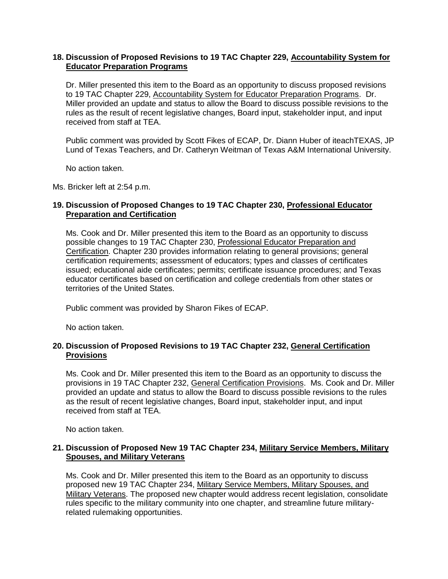## **18. Discussion of Proposed Revisions to 19 TAC Chapter 229, Accountability System for Educator Preparation Programs**

Dr. Miller presented this item to the Board as an opportunity to discuss proposed revisions to 19 TAC Chapter 229, Accountability System for Educator Preparation Programs. Dr. Miller provided an update and status to allow the Board to discuss possible revisions to the rules as the result of recent legislative changes, Board input, stakeholder input, and input received from staff at TEA.

Public comment was provided by Scott Fikes of ECAP, Dr. Diann Huber of iteachTEXAS, JP Lund of Texas Teachers, and Dr. Catheryn Weitman of Texas A&M International University.

No action taken.

Ms. Bricker left at 2:54 p.m.

# **19. Discussion of Proposed Changes to 19 TAC Chapter 230, Professional Educator Preparation and Certification**

Ms. Cook and Dr. Miller presented this item to the Board as an opportunity to discuss possible changes to 19 TAC Chapter 230, Professional Educator Preparation and Certification. Chapter 230 provides information relating to general provisions; general certification requirements; assessment of educators; types and classes of certificates issued; educational aide certificates; permits; certificate issuance procedures; and Texas educator certificates based on certification and college credentials from other states or territories of the United States.

Public comment was provided by Sharon Fikes of ECAP.

No action taken.

# **20. Discussion of Proposed Revisions to 19 TAC Chapter 232, General Certification Provisions**

Ms. Cook and Dr. Miller presented this item to the Board as an opportunity to discuss the provisions in 19 TAC Chapter 232, General Certification Provisions. Ms. Cook and Dr. Miller provided an update and status to allow the Board to discuss possible revisions to the rules as the result of recent legislative changes, Board input, stakeholder input, and input received from staff at TEA.

No action taken.

## **21. Discussion of Proposed New 19 TAC Chapter 234, Military Service Members, Military Spouses, and Military Veterans**

Ms. Cook and Dr. Miller presented this item to the Board as an opportunity to discuss proposed new 19 TAC Chapter 234, Military Service Members, Military Spouses, and Military Veterans. The proposed new chapter would address recent legislation, consolidate rules specific to the military community into one chapter, and streamline future militaryrelated rulemaking opportunities.